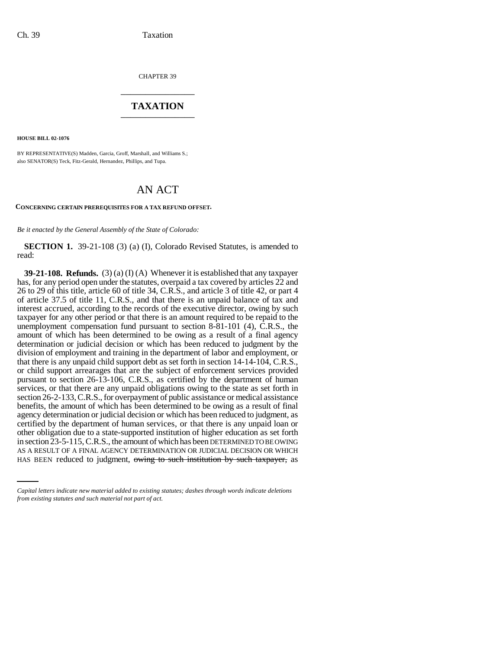CHAPTER 39 \_\_\_\_\_\_\_\_\_\_\_\_\_\_\_

# **TAXATION** \_\_\_\_\_\_\_\_\_\_\_\_\_\_\_

**HOUSE BILL 02-1076**

BY REPRESENTATIVE(S) Madden, Garcia, Groff, Marshall, and Williams S.; also SENATOR(S) Teck, Fitz-Gerald, Hernandez, Phillips, and Tupa.

# AN ACT

#### **CONCERNING CERTAIN PREREQUISITES FOR A TAX REFUND OFFSET.**

*Be it enacted by the General Assembly of the State of Colorado:*

**SECTION 1.** 39-21-108 (3) (a) (I), Colorado Revised Statutes, is amended to read:

in section 23-5-115, C.R.S., the amount of which has been DETERMINED TO BE OWING **39-21-108. Refunds.** (3) (a) (I) (A) Whenever it is established that any taxpayer has, for any period open under the statutes, overpaid a tax covered by articles 22 and 26 to 29 of this title, article 60 of title 34, C.R.S., and article 3 of title 42, or part 4 of article 37.5 of title 11, C.R.S., and that there is an unpaid balance of tax and interest accrued, according to the records of the executive director, owing by such taxpayer for any other period or that there is an amount required to be repaid to the unemployment compensation fund pursuant to section 8-81-101 (4), C.R.S., the amount of which has been determined to be owing as a result of a final agency determination or judicial decision or which has been reduced to judgment by the division of employment and training in the department of labor and employment, or that there is any unpaid child support debt as set forth in section 14-14-104, C.R.S., or child support arrearages that are the subject of enforcement services provided pursuant to section 26-13-106, C.R.S., as certified by the department of human services, or that there are any unpaid obligations owing to the state as set forth in section 26-2-133, C.R.S., for overpayment of public assistance or medical assistance benefits, the amount of which has been determined to be owing as a result of final agency determination or judicial decision or which has been reduced to judgment, as certified by the department of human services, or that there is any unpaid loan or other obligation due to a state-supported institution of higher education as set forth AS A RESULT OF A FINAL AGENCY DETERMINATION OR JUDICIAL DECISION OR WHICH HAS BEEN reduced to judgment, owing to such institution by such taxpayer, as

*Capital letters indicate new material added to existing statutes; dashes through words indicate deletions from existing statutes and such material not part of act.*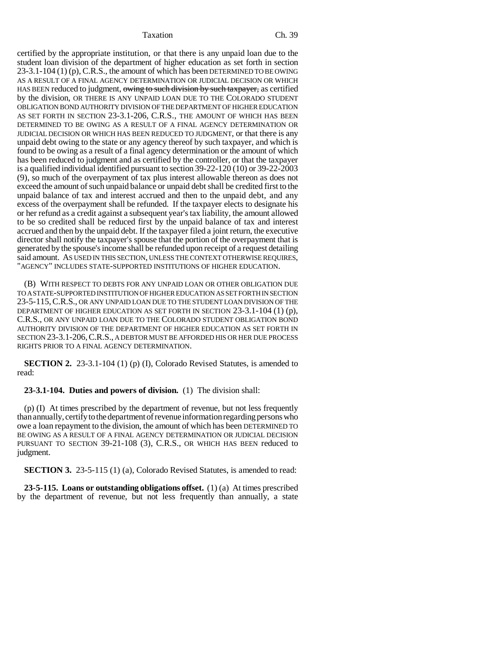#### Taxation Ch. 39

certified by the appropriate institution, or that there is any unpaid loan due to the student loan division of the department of higher education as set forth in section 23-3.1-104 (1) (p), C.R.S., the amount of which has been DETERMINED TO BE OWING AS A RESULT OF A FINAL AGENCY DETERMINATION OR JUDICIAL DECISION OR WHICH HAS BEEN reduced to judgment, owing to such division by such taxpayer, as certified by the division, OR THERE IS ANY UNPAID LOAN DUE TO THE COLORADO STUDENT OBLIGATION BOND AUTHORITY DIVISION OF THE DEPARTMENT OF HIGHER EDUCATION AS SET FORTH IN SECTION 23-3.1-206, C.R.S., THE AMOUNT OF WHICH HAS BEEN DETERMINED TO BE OWING AS A RESULT OF A FINAL AGENCY DETERMINATION OR JUDICIAL DECISION OR WHICH HAS BEEN REDUCED TO JUDGMENT, or that there is any unpaid debt owing to the state or any agency thereof by such taxpayer, and which is found to be owing as a result of a final agency determination or the amount of which has been reduced to judgment and as certified by the controller, or that the taxpayer is a qualified individual identified pursuant to section 39-22-120 (10) or 39-22-2003 (9), so much of the overpayment of tax plus interest allowable thereon as does not exceed the amount of such unpaid balance or unpaid debt shall be credited first to the unpaid balance of tax and interest accrued and then to the unpaid debt, and any excess of the overpayment shall be refunded. If the taxpayer elects to designate his or her refund as a credit against a subsequent year's tax liability, the amount allowed to be so credited shall be reduced first by the unpaid balance of tax and interest accrued and then by the unpaid debt. If the taxpayer filed a joint return, the executive director shall notify the taxpayer's spouse that the portion of the overpayment that is generated by the spouse's income shall be refunded upon receipt of a request detailing said amount. AS USED IN THIS SECTION, UNLESS THE CONTEXT OTHERWISE REQUIRES, "AGENCY" INCLUDES STATE-SUPPORTED INSTITUTIONS OF HIGHER EDUCATION.

(B) WITH RESPECT TO DEBTS FOR ANY UNPAID LOAN OR OTHER OBLIGATION DUE TO A STATE-SUPPORTED INSTITUTION OF HIGHER EDUCATION AS SET FORTH IN SECTION 23-5-115,C.R.S., OR ANY UNPAID LOAN DUE TO THE STUDENT LOAN DIVISION OF THE DEPARTMENT OF HIGHER EDUCATION AS SET FORTH IN SECTION 23-3.1-104 (1) (p), C.R.S., OR ANY UNPAID LOAN DUE TO THE COLORADO STUDENT OBLIGATION BOND AUTHORITY DIVISION OF THE DEPARTMENT OF HIGHER EDUCATION AS SET FORTH IN SECTION 23-3.1-206,C.R.S., A DEBTOR MUST BE AFFORDED HIS OR HER DUE PROCESS RIGHTS PRIOR TO A FINAL AGENCY DETERMINATION.

**SECTION 2.** 23-3.1-104 (1) (p) (I), Colorado Revised Statutes, is amended to read:

### **23-3.1-104. Duties and powers of division.** (1) The division shall:

(p) (I) At times prescribed by the department of revenue, but not less frequently than annually, certify to the department of revenue information regarding persons who owe a loan repayment to the division, the amount of which has been DETERMINED TO BE OWING AS A RESULT OF A FINAL AGENCY DETERMINATION OR JUDICIAL DECISION PURSUANT TO SECTION 39-21-108 (3), C.R.S., OR WHICH HAS BEEN reduced to judgment.

**SECTION 3.** 23-5-115 (1) (a), Colorado Revised Statutes, is amended to read:

**23-5-115. Loans or outstanding obligations offset.** (1) (a) At times prescribed by the department of revenue, but not less frequently than annually, a state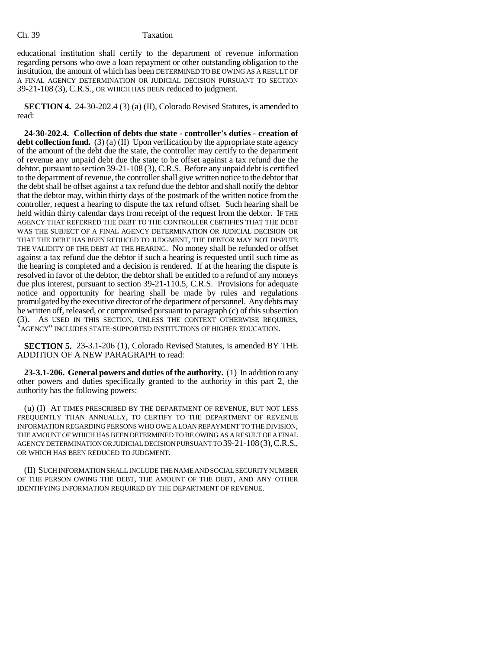## Ch. 39 Taxation

educational institution shall certify to the department of revenue information regarding persons who owe a loan repayment or other outstanding obligation to the institution, the amount of which has been DETERMINED TO BE OWING AS A RESULT OF A FINAL AGENCY DETERMINATION OR JUDICIAL DECISION PURSUANT TO SECTION 39-21-108 (3), C.R.S., OR WHICH HAS BEEN reduced to judgment.

**SECTION 4.** 24-30-202.4 (3) (a) (II), Colorado Revised Statutes, is amended to read:

**24-30-202.4. Collection of debts due state - controller's duties - creation of debt collection fund.** (3) (a) (II) Upon verification by the appropriate state agency of the amount of the debt due the state, the controller may certify to the department of revenue any unpaid debt due the state to be offset against a tax refund due the debtor, pursuant to section 39-21-108 (3), C.R.S. Before any unpaid debt is certified to the department of revenue, the controller shall give written notice to the debtor that the debt shall be offset against a tax refund due the debtor and shall notify the debtor that the debtor may, within thirty days of the postmark of the written notice from the controller, request a hearing to dispute the tax refund offset. Such hearing shall be held within thirty calendar days from receipt of the request from the debtor. IF THE AGENCY THAT REFERRED THE DEBT TO THE CONTROLLER CERTIFIES THAT THE DEBT WAS THE SUBJECT OF A FINAL AGENCY DETERMINATION OR JUDICIAL DECISION OR THAT THE DEBT HAS BEEN REDUCED TO JUDGMENT, THE DEBTOR MAY NOT DISPUTE THE VALIDITY OF THE DEBT AT THE HEARING. No money shall be refunded or offset against a tax refund due the debtor if such a hearing is requested until such time as the hearing is completed and a decision is rendered. If at the hearing the dispute is resolved in favor of the debtor, the debtor shall be entitled to a refund of any moneys due plus interest, pursuant to section 39-21-110.5, C.R.S. Provisions for adequate notice and opportunity for hearing shall be made by rules and regulations promulgated by the executive director of the department of personnel. Any debts may be written off, released, or compromised pursuant to paragraph (c) of this subsection (3). AS USED IN THIS SECTION, UNLESS THE CONTEXT OTHERWISE REQUIRES, "AGENCY" INCLUDES STATE-SUPPORTED INSTITUTIONS OF HIGHER EDUCATION.

**SECTION 5.** 23-3.1-206 (1), Colorado Revised Statutes, is amended BY THE ADDITION OF A NEW PARAGRAPH to read:

**23-3.1-206. General powers and duties of the authority.** (1) In addition to any other powers and duties specifically granted to the authority in this part 2, the authority has the following powers:

(u) (I) AT TIMES PRESCRIBED BY THE DEPARTMENT OF REVENUE, BUT NOT LESS FREQUENTLY THAN ANNUALLY, TO CERTIFY TO THE DEPARTMENT OF REVENUE INFORMATION REGARDING PERSONS WHO OWE A LOAN REPAYMENT TO THE DIVISION, THE AMOUNT OF WHICH HAS BEEN DETERMINED TO BE OWING AS A RESULT OF A FINAL AGENCY DETERMINATION OR JUDICIAL DECISION PURSUANT TO 39-21-108(3),C.R.S., OR WHICH HAS BEEN REDUCED TO JUDGMENT.

(II) SUCH INFORMATION SHALL INCLUDE THE NAME AND SOCIAL SECURITY NUMBER OF THE PERSON OWING THE DEBT, THE AMOUNT OF THE DEBT, AND ANY OTHER IDENTIFYING INFORMATION REQUIRED BY THE DEPARTMENT OF REVENUE.